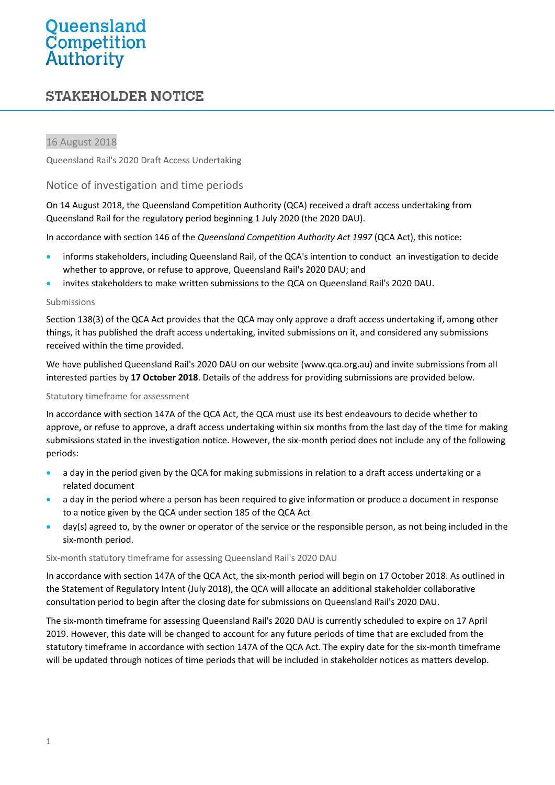# Queensland<br>Competition<br>Authority

# **STAKEHOLDER NOTICE**

# 16 August 2018

Queensland Rail's 2020 Draft Access Undertaking

### Notice of investigation and time periods

On 14 August 2018, the Queensland Competition Authority (QCA) received a draft access undertaking from Queensland Rail for the regulatory period beginning 1 July 2020 (the 2020 DAU).

In accordance with section 146 of the *Queensland Competition Authority Act 1997* (QCA Act), this notice:

- informs stakeholders, including Queensland Rail, of the QCA's intention to conduct an investigation to decide whether to approve, or refuse to approve, Queensland Rail's 2020 DAU; and
- invites stakeholders to make written submissions to the QCA on Queensland Rail's 2020 DAU.

#### Submissions

Section 138(3) of the QCA Act provides that the QCA may only approve a draft access undertaking if, among other things, it has published the draft access undertaking, invited submissions on it, and considered any submissions received within the time provided.

We have published Queensland Rail's 2020 DAU on our website [\(www.qca.org.au\)](http://www.qca.org.au/) and invite submissions from all interested parties by **17 October 2018**. Details of the address for providing submissions are provided below.

#### Statutory timeframe for assessment

In accordance with section 147A of the QCA Act, the QCA must use its best endeavours to decide whether to approve, or refuse to approve, a draft access undertaking within six months from the last day of the time for making submissions stated in the investigation notice. However, the six-month period does not include any of the following periods:

- a day in the period given by the QCA for making submissions in relation to a draft access undertaking or a related document
- a day in the period where a person has been required to give information or produce a document in response to a notice given by the QCA under section 185 of the QCA Act
- day(s) agreed to, by the owner or operator of the service or the responsible person, as not being included in the six-month period.

#### Six-month statutory timeframe for assessing Queensland Rail's 2020 DAU

In accordance with section 147A of the QCA Act, the six-month period will begin on 17 October 2018. As outlined in the Statement of Regulatory Intent (July 2018), the QCA will allocate an additional stakeholder collaborative consultation period to begin after the closing date for submissions on Queensland Rail's 2020 DAU.

The six-month timeframe for assessing Queensland Rail's 2020 DAU is currently scheduled to expire on 17 April 2019. However, this date will be changed to account for any future periods of time that are excluded from the statutory timeframe in accordance with section 147A of the QCA Act. The expiry date for the six-month timeframe will be updated through notices of time periods that will be included in stakeholder notices as matters develop.